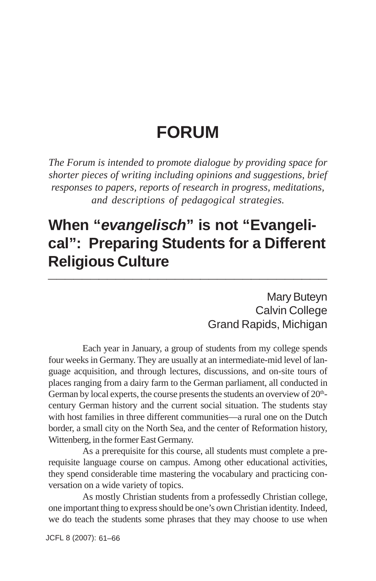# **FORUM**

*The Forum is intended to promote dialogue by providing space for shorter pieces of writing including opinions and suggestions, brief responses to papers, reports of research in progress, meditations, and descriptions of pedagogical strategies.*

## **When "***evangelisch***" is not "Evangelical": Preparing Students for a Different Religious Culture \_\_\_\_\_\_\_\_\_\_\_\_\_\_\_\_\_\_\_\_\_\_\_\_\_\_\_\_\_\_\_\_\_**

Mary Buteyn Calvin College Grand Rapids, Michigan

Each year in January, a group of students from my college spends four weeks in Germany. They are usually at an intermediate-mid level of language acquisition, and through lectures, discussions, and on-site tours of places ranging from a dairy farm to the German parliament, all conducted in German by local experts, the course presents the students an overview of  $20<sup>th</sup>$ century German history and the current social situation. The students stay with host families in three different communities—a rural one on the Dutch border, a small city on the North Sea, and the center of Reformation history, Wittenberg, in the former East Germany.

As a prerequisite for this course, all students must complete a prerequisite language course on campus. Among other educational activities, they spend considerable time mastering the vocabulary and practicing conversation on a wide variety of topics.

As mostly Christian students from a professedly Christian college, one important thing to express should be one's own Christian identity. Indeed, we do teach the students some phrases that they may choose to use when

JCFL 8 (2007): 61–66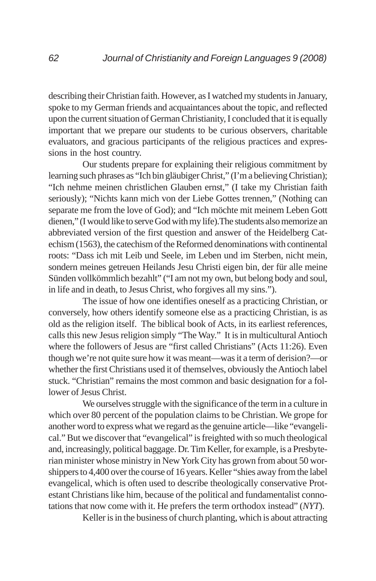describing their Christian faith. However, as I watched my students in January, spoke to my German friends and acquaintances about the topic, and reflected upon the current situation of German Christianity, I concluded that it is equally important that we prepare our students to be curious observers, charitable evaluators, and gracious participants of the religious practices and expressions in the host country.

Our students prepare for explaining their religious commitment by learning such phrases as "Ich bin gläubiger Christ," (I'm a believing Christian); "Ich nehme meinen christlichen Glauben ernst," (I take my Christian faith seriously); "Nichts kann mich von der Liebe Gottes trennen," (Nothing can separate me from the love of God); and "Ich möchte mit meinem Leben Gott dienen," (I would like to serve God with my life).The students also memorize an abbreviated version of the first question and answer of the Heidelberg Catechism (1563), the catechism of the Reformed denominations with continental roots: "Dass ich mit Leib und Seele, im Leben und im Sterben, nicht mein, sondern meines getreuen Heilands Jesu Christi eigen bin, der für alle meine Sünden vollkömmlich bezahlt" ("I am not my own, but belong body and soul, in life and in death, to Jesus Christ, who forgives all my sins.").

The issue of how one identifies oneself as a practicing Christian, or conversely, how others identify someone else as a practicing Christian, is as old as the religion itself. The biblical book of Acts, in its earliest references, calls this new Jesus religion simply "The Way." It is in multicultural Antioch where the followers of Jesus are "first called Christians" (Acts 11:26). Even though we're not quite sure how it was meant—was it a term of derision?—or whether the first Christians used it of themselves, obviously the Antioch label stuck. "Christian" remains the most common and basic designation for a follower of Jesus Christ.

We ourselves struggle with the significance of the term in a culture in which over 80 percent of the population claims to be Christian. We grope for another word to express what we regard as the genuine article—like "evangelical." But we discover that "evangelical" is freighted with so much theological and, increasingly, political baggage. Dr. Tim Keller, for example, is a Presbyterian minister whose ministry in New York City has grown from about 50 worshippers to 4,400 over the course of 16 years. Keller "shies away from the label evangelical, which is often used to describe theologically conservative Protestant Christians like him, because of the political and fundamentalist connotations that now come with it. He prefers the term orthodox instead" (*NYT*).

Keller is in the business of church planting, which is about attracting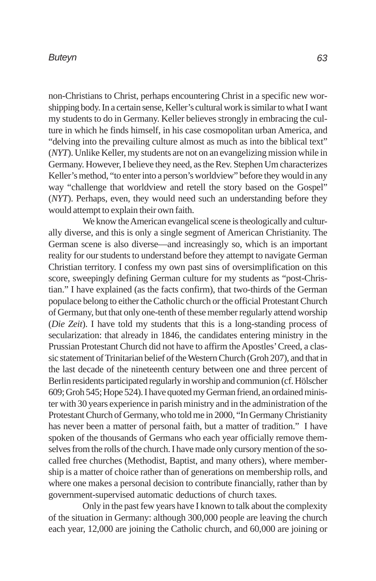#### *Buteyn*

non-Christians to Christ, perhaps encountering Christ in a specific new worshipping body. In a certain sense, Keller's cultural work is similar to what I want my students to do in Germany. Keller believes strongly in embracing the culture in which he finds himself, in his case cosmopolitan urban America, and "delving into the prevailing culture almost as much as into the biblical text" (*NYT*). Unlike Keller, my students are not on an evangelizing mission while in Germany. However, I believe they need, as the Rev. Stephen Um characterizes Keller's method, "to enter into a person's worldview" before they would in any way "challenge that worldview and retell the story based on the Gospel" (*NYT*). Perhaps, even, they would need such an understanding before they would attempt to explain their own faith.

We know the American evangelical scene is theologically and culturally diverse, and this is only a single segment of American Christianity. The German scene is also diverse—and increasingly so, which is an important reality for our students to understand before they attempt to navigate German Christian territory. I confess my own past sins of oversimplification on this score, sweepingly defining German culture for my students as "post-Christian." I have explained (as the facts confirm), that two-thirds of the German populace belong to either the Catholic church or the official Protestant Church of Germany, but that only one-tenth of these member regularly attend worship (*Die Zeit*). I have told my students that this is a long-standing process of secularization: that already in 1846, the candidates entering ministry in the Prussian Protestant Church did not have to affirm the Apostles' Creed, a classic statement of Trinitarian belief of the Western Church (Groh 207), and that in the last decade of the nineteenth century between one and three percent of Berlin residents participated regularly in worship and communion (cf. Hölscher 609; Groh 545; Hope 524). I have quoted my German friend, an ordained minister with 30 years experience in parish ministry and in the administration of the Protestant Church of Germany, who told me in 2000, "In Germany Christianity has never been a matter of personal faith, but a matter of tradition." I have spoken of the thousands of Germans who each year officially remove themselves from the rolls of the church. I have made only cursory mention of the socalled free churches (Methodist, Baptist, and many others), where membership is a matter of choice rather than of generations on membership rolls, and where one makes a personal decision to contribute financially, rather than by government-supervised automatic deductions of church taxes.

Only in the past few years have I known to talk about the complexity of the situation in Germany: although 300,000 people are leaving the church each year, 12,000 are joining the Catholic church, and 60,000 are joining or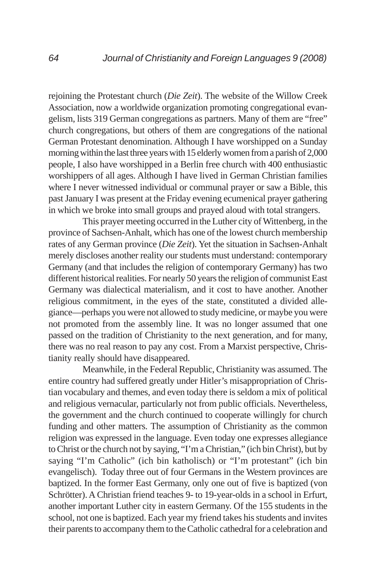rejoining the Protestant church (*Die Zeit*). The website of the Willow Creek Association, now a worldwide organization promoting congregational evangelism, lists 319 German congregations as partners. Many of them are "free" church congregations, but others of them are congregations of the national German Protestant denomination. Although I have worshipped on a Sunday morning within the last three years with 15 elderly women from a parish of 2,000 people, I also have worshipped in a Berlin free church with 400 enthusiastic worshippers of all ages. Although I have lived in German Christian families where I never witnessed individual or communal prayer or saw a Bible, this past January I was present at the Friday evening ecumenical prayer gathering in which we broke into small groups and prayed aloud with total strangers.

This prayer meeting occurred in the Luther city of Wittenberg, in the province of Sachsen-Anhalt, which has one of the lowest church membership rates of any German province (*Die Zeit*). Yet the situation in Sachsen-Anhalt merely discloses another reality our students must understand: contemporary Germany (and that includes the religion of contemporary Germany) has two different historical realities. For nearly 50 years the religion of communist East Germany was dialectical materialism, and it cost to have another. Another religious commitment, in the eyes of the state, constituted a divided allegiance—perhaps you were not allowed to study medicine, or maybe you were not promoted from the assembly line. It was no longer assumed that one passed on the tradition of Christianity to the next generation, and for many, there was no real reason to pay any cost. From a Marxist perspective, Christianity really should have disappeared.

Meanwhile, in the Federal Republic, Christianity was assumed. The entire country had suffered greatly under Hitler's misappropriation of Christian vocabulary and themes, and even today there is seldom a mix of political and religious vernacular, particularly not from public officials. Nevertheless, the government and the church continued to cooperate willingly for church funding and other matters. The assumption of Christianity as the common religion was expressed in the language. Even today one expresses allegiance to Christ or the church not by saying, "I'm a Christian," (ich bin Christ), but by saying "I'm Catholic" (ich bin katholisch) or "I'm protestant" (ich bin evangelisch). Today three out of four Germans in the Western provinces are baptized. In the former East Germany, only one out of five is baptized (von Schrötter). A Christian friend teaches 9- to 19-year-olds in a school in Erfurt, another important Luther city in eastern Germany. Of the 155 students in the school, not one is baptized. Each year my friend takes his students and invites their parents to accompany them to the Catholic cathedral for a celebration and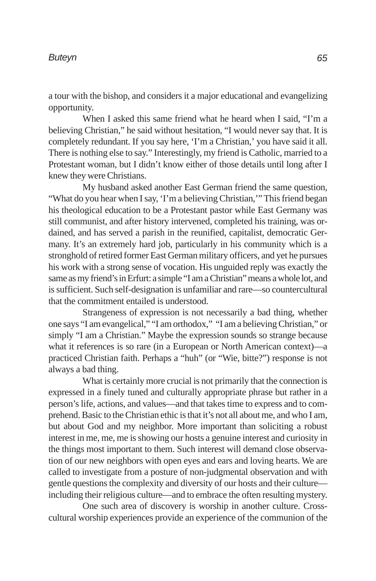#### *Buteyn*

a tour with the bishop, and considers it a major educational and evangelizing opportunity.

When I asked this same friend what he heard when I said, "I'm a believing Christian," he said without hesitation, "I would never say that. It is completely redundant. If you say here, 'I'm a Christian,' you have said it all. There is nothing else to say." Interestingly, my friend is Catholic, married to a Protestant woman, but I didn't know either of those details until long after I knew they were Christians.

My husband asked another East German friend the same question, "What do you hear when I say, 'I'm a believing Christian,'" This friend began his theological education to be a Protestant pastor while East Germany was still communist, and after history intervened, completed his training, was ordained, and has served a parish in the reunified, capitalist, democratic Germany. It's an extremely hard job, particularly in his community which is a stronghold of retired former East German military officers, and yet he pursues his work with a strong sense of vocation. His unguided reply was exactly the same as my friend's in Erfurt: a simple "I am a Christian" means a whole lot, and is sufficient. Such self-designation is unfamiliar and rare—so countercultural that the commitment entailed is understood.

Strangeness of expression is not necessarily a bad thing, whether one says "I am evangelical," "I am orthodox," "I am a believing Christian," or simply "I am a Christian." Maybe the expression sounds so strange because what it references is so rare (in a European or North American context)—a practiced Christian faith. Perhaps a "huh" (or "Wie, bitte?") response is not always a bad thing.

What is certainly more crucial is not primarily that the connection is expressed in a finely tuned and culturally appropriate phrase but rather in a person's life, actions, and values—and that takes time to express and to comprehend. Basic to the Christian ethic is that it's not all about me, and who I am, but about God and my neighbor. More important than soliciting a robust interest in me, me, me is showing our hosts a genuine interest and curiosity in the things most important to them. Such interest will demand close observation of our new neighbors with open eyes and ears and loving hearts. We are called to investigate from a posture of non-judgmental observation and with gentle questions the complexity and diversity of our hosts and their culture including their religious culture—and to embrace the often resulting mystery.

One such area of discovery is worship in another culture. Crosscultural worship experiences provide an experience of the communion of the